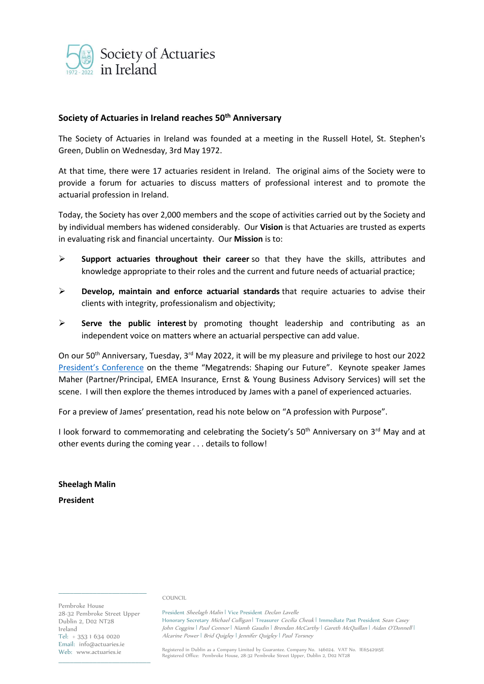

# **Society of Actuaries in Ireland reaches 50th Anniversary**

The Society of Actuaries in Ireland was founded at a meeting in the Russell Hotel, St. Stephen's Green, Dublin on Wednesday, 3rd May 1972.

At that time, there were 17 actuaries resident in Ireland. The original aims of the Society were to provide a forum for actuaries to discuss matters of professional interest and to promote the actuarial profession in Ireland.

Today, the Society has over 2,000 members and the scope of activities carried out by the Society and by individual members has widened considerably. Our **Vision** is that Actuaries are trusted as experts in evaluating risk and financial uncertainty. Our **Mission** is to:

- ➢ **Support actuaries throughout their career** so that they have the skills, attributes and knowledge appropriate to their roles and the current and future needs of actuarial practice;
- ➢ **Develop, maintain and enforce actuarial standards** that require actuaries to advise their clients with integrity, professionalism and objectivity;
- ➢ **Serve the public interest** by promoting thought leadership and contributing as an independent voice on matters where an actuarial perspective can add value.

On our 50<sup>th</sup> Anniversary, Tuesday, 3<sup>rd</sup> May 2022, it will be my pleasure and privilege to host our 2022 President['s Conference](https://web.actuaries.ie/events/2022/01/sai-presidents-conference-2022-megatrends-shaping-our-future) on the theme "Megatrends: Shaping our Future". Keynote speaker James Maher (Partner/Principal, EMEA Insurance, Ernst & Young Business Advisory Services) will set the scene. I will then explore the themes introduced by James with a panel of experienced actuaries.

For a preview of James' presentation, read his note below on "A profession with Purpose".

I look forward to commemorating and celebrating the Society's  $50<sup>th</sup>$  Anniversary on  $3<sup>rd</sup>$  May and at other events during the coming year . . . details to follow!

**Sheelagh Malin President**

COUNCIL

Pembroke House 28-32 Pembroke Street Upper Dublin 2, D02 NT28 Ireland Tel: + 353 1 634 0020 Email: info@actuaries.ie Web: www.actuaries.ie

 $\mathcal{L}=\mathcal{L}=\mathcal{L}=\mathcal{L}=\mathcal{L}=\mathcal{L}=\mathcal{L}=\mathcal{L}=\mathcal{L}=\mathcal{L}=\mathcal{L}=\mathcal{L}=\mathcal{L}=\mathcal{L}=\mathcal{L}=\mathcal{L}=\mathcal{L}=\mathcal{L}=\mathcal{L}=\mathcal{L}=\mathcal{L}=\mathcal{L}=\mathcal{L}=\mathcal{L}=\mathcal{L}=\mathcal{L}=\mathcal{L}=\mathcal{L}=\mathcal{L}=\mathcal{L}=\mathcal{L}=\mathcal{L}=\mathcal{L}=\mathcal{L}=\mathcal{L}=\mathcal{L}=\mathcal{$ 

\_\_\_\_\_\_\_\_\_\_\_\_\_\_\_\_\_\_\_\_\_\_\_

President Sheelagh Malin | Vice President Declan Lavelle Honorary Secretary Michael Culligan | Treasurer Cecilia Cheuk | Immediate Past President Sean Casey John Coggins ǀ Paul Connor ǀ Niamh Gaudin ǀ Brendan McCarthy ǀ Gareth McQuillan ǀ Aidan O'Donnell ǀ Alcarine Power | Brid Quigley | Jennifer Quigley | Paul Torsney

Registered in Dublin as a Company Limited by Guarantee. Company No. 146024. VAT No. IE6542915E Registered Office: Pembroke House, 28-32 Pembroke Street Upper, Dublin 2, D02 NT28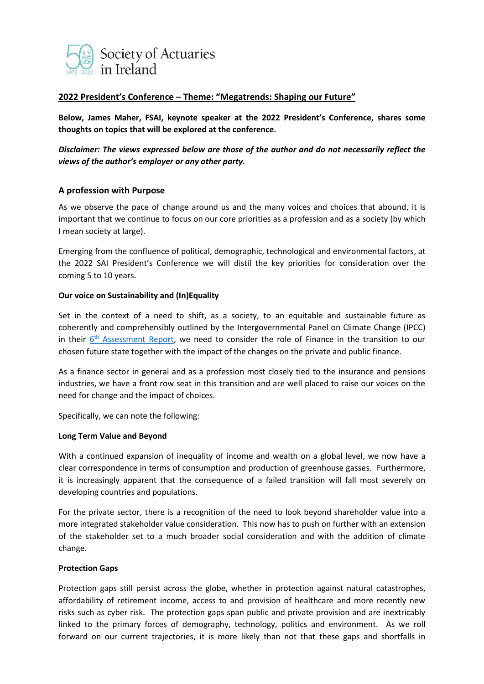

# **2022 President's Conference – Theme: "Megatrends: Shaping our Future"**

**Below, James Maher, FSAI, keynote speaker at the 2022 President's Conference, shares some thoughts on topics that will be explored at the conference.** 

*Disclaimer: The views expressed below are those of the author and do not necessarily reflect the views of the author's employer or any other party.*

# **A profession with Purpose**

As we observe the pace of change around us and the many voices and choices that abound, it is important that we continue to focus on our core priorities as a profession and as a society (by which I mean society at large).

Emerging from the confluence of political, demographic, technological and environmental factors, at the 2022 SAI President's Conference we will distil the key priorities for consideration over the coming 5 to 10 years.

### **Our voice on Sustainability and (In)Equality**

Set in the context of a need to shift, as a society, to an equitable and sustainable future as coherently and comprehensibly outlined by the Intergovernmental Panel on Climate Change (IPCC) in their *6<sup>th</sup> [Assessment Report,](https://www.ipcc.ch/report/sixth-assessment-report-working-group-ii/)* we need to consider the role of Finance in the transition to our chosen future state together with the impact of the changes on the private and public finance.

As a finance sector in general and as a profession most closely tied to the insurance and pensions industries, we have a front row seat in this transition and are well placed to raise our voices on the need for change and the impact of choices.

Specifically, we can note the following:

#### **Long Term Value and Beyond**

With a continued expansion of inequality of income and wealth on a global level, we now have a clear correspondence in terms of consumption and production of greenhouse gasses. Furthermore, it is increasingly apparent that the consequence of a failed transition will fall most severely on developing countries and populations.

For the private sector, there is a recognition of the need to look beyond shareholder value into a more integrated stakeholder value consideration. This now has to push on further with an extension of the stakeholder set to a much broader social consideration and with the addition of climate change.

### **Protection Gaps**

Protection gaps still persist across the globe, whether in protection against natural catastrophes, affordability of retirement income, access to and provision of healthcare and more recently new risks such as cyber risk. The protection gaps span public and private provision and are inextricably linked to the primary forces of demography, technology, politics and environment. As we roll forward on our current trajectories, it is more likely than not that these gaps and shortfalls in